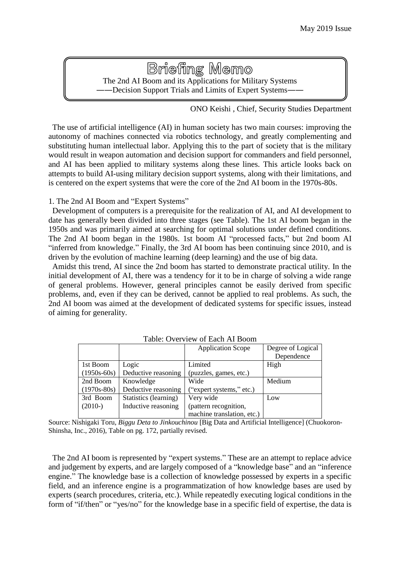# **Briefing Memo** The 2nd AI Boom and its Applications for Military Systems ――Decision Support Trials and Limits of Expert Systems――

ONO Keishi , Chief, Security Studies Department

The use of artificial intelligence (AI) in human society has two main courses: improving the autonomy of machines connected via robotics technology, and greatly complementing and substituting human intellectual labor. Applying this to the part of society that is the military would result in weapon automation and decision support for commanders and field personnel, and AI has been applied to military systems along these lines. This article looks back on attempts to build AI-using military decision support systems, along with their limitations, and is centered on the expert systems that were the core of the 2nd AI boom in the 1970s-80s.

## 1. The 2nd AI Boom and "Expert Systems"

Development of computers is a prerequisite for the realization of AI, and AI development to date has generally been divided into three stages (see Table). The 1st AI boom began in the 1950s and was primarily aimed at searching for optimal solutions under defined conditions. The 2nd AI boom began in the 1980s. 1st boom AI "processed facts," but 2nd boom AI "inferred from knowledge." Finally, the 3rd AI boom has been continuing since 2010, and is driven by the evolution of machine learning (deep learning) and the use of big data.

Amidst this trend, AI since the 2nd boom has started to demonstrate practical utility. In the initial development of AI, there was a tendency for it to be in charge of solving a wide range of general problems. However, general principles cannot be easily derived from specific problems, and, even if they can be derived, cannot be applied to real problems. As such, the 2nd AI boom was aimed at the development of dedicated systems for specific issues, instead of aiming for generality.

|               |                       | <b>Application Scope</b>   | Degree of Logical |
|---------------|-----------------------|----------------------------|-------------------|
|               |                       |                            | Dependence        |
| 1st Boom      | Logic                 | Limited                    | High              |
| $(1950s-60s)$ | Deductive reasoning   | (puzzles, games, etc.)     |                   |
| 2nd Boom      | Knowledge             | Wide                       | Medium            |
| $(1970s-80s)$ | Deductive reasoning   | ("expert systems," etc.)   |                   |
| 3rd Boom      | Statistics (learning) | Very wide                  | Low               |
| $(2010-)$     | Inductive reasoning   | (pattern recognition,      |                   |
|               |                       | machine translation, etc.) |                   |

Table: Overview of Each AI Boom

Source: Nishigaki Toru, *Biggu Deta to Jinkouchinou* [Big Data and Artificial Intelligence] (Chuokoron-Shinsha, Inc., 2016), Table on pg. 172, partially revised.

The 2nd AI boom is represented by "expert systems." These are an attempt to replace advice and judgement by experts, and are largely composed of a "knowledge base" and an "inference engine." The knowledge base is a collection of knowledge possessed by experts in a specific field, and an inference engine is a programmatization of how knowledge bases are used by experts (search procedures, criteria, etc.). While repeatedly executing logical conditions in the form of "if/then" or "yes/no" for the knowledge base in a specific field of expertise, the data is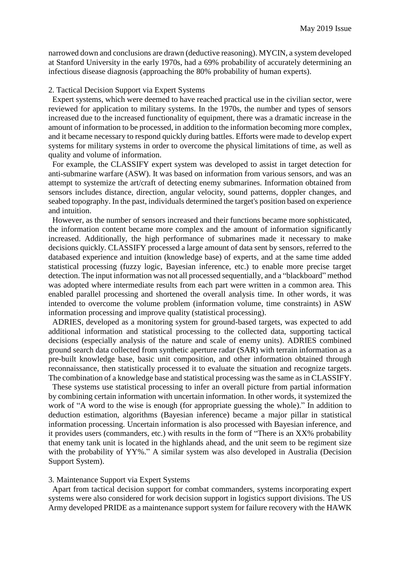narrowed down and conclusions are drawn (deductive reasoning). MYCIN, a system developed at Stanford University in the early 1970s, had a 69% probability of accurately determining an infectious disease diagnosis (approaching the 80% probability of human experts).

### 2. Tactical Decision Support via Expert Systems

Expert systems, which were deemed to have reached practical use in the civilian sector, were reviewed for application to military systems. In the 1970s, the number and types of sensors increased due to the increased functionality of equipment, there was a dramatic increase in the amount of information to be processed, in addition to the information becoming more complex, and it became necessary to respond quickly during battles. Efforts were made to develop expert systems for military systems in order to overcome the physical limitations of time, as well as quality and volume of information.

For example, the CLASSIFY expert system was developed to assist in target detection for anti-submarine warfare (ASW). It was based on information from various sensors, and was an attempt to systemize the art/craft of detecting enemy submarines. Information obtained from sensors includes distance, direction, angular velocity, sound patterns, doppler changes, and seabed topography. In the past, individuals determined the target's position based on experience and intuition.

However, as the number of sensors increased and their functions became more sophisticated, the information content became more complex and the amount of information significantly increased. Additionally, the high performance of submarines made it necessary to make decisions quickly. CLASSIFY processed a large amount of data sent by sensors, referred to the databased experience and intuition (knowledge base) of experts, and at the same time added statistical processing (fuzzy logic, Bayesian inference, etc.) to enable more precise target detection. The input information was not all processed sequentially, and a "blackboard" method was adopted where intermediate results from each part were written in a common area. This enabled parallel processing and shortened the overall analysis time. In other words, it was intended to overcome the volume problem (information volume, time constraints) in ASW information processing and improve quality (statistical processing).

ADRIES, developed as a monitoring system for ground-based targets, was expected to add additional information and statistical processing to the collected data, supporting tactical decisions (especially analysis of the nature and scale of enemy units). ADRIES combined ground search data collected from synthetic aperture radar (SAR) with terrain information as a pre-built knowledge base, basic unit composition, and other information obtained through reconnaissance, then statistically processed it to evaluate the situation and recognize targets. The combination of a knowledge base and statistical processing was the same as in CLASSIFY.

These systems use statistical processing to infer an overall picture from partial information by combining certain information with uncertain information. In other words, it systemized the work of "A word to the wise is enough (for appropriate guessing the whole)." In addition to deduction estimation, algorithms (Bayesian inference) became a major pillar in statistical information processing. Uncertain information is also processed with Bayesian inference, and it provides users (commanders, etc.) with results in the form of "There is an XX% probability that enemy tank unit is located in the highlands ahead, and the unit seem to be regiment size with the probability of YY%." A similar system was also developed in Australia (Decision Support System).

### 3. Maintenance Support via Expert Systems

Apart from tactical decision support for combat commanders, systems incorporating expert systems were also considered for work decision support in logistics support divisions. The US Army developed PRIDE as a maintenance support system for failure recovery with the HAWK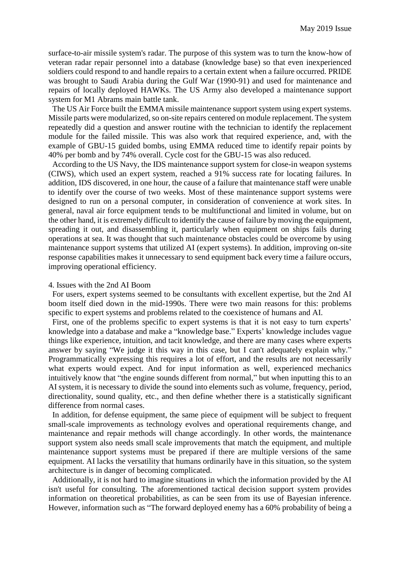surface-to-air missile system's radar. The purpose of this system was to turn the know-how of veteran radar repair personnel into a database (knowledge base) so that even inexperienced soldiers could respond to and handle repairs to a certain extent when a failure occurred. PRIDE was brought to Saudi Arabia during the Gulf War (1990-91) and used for maintenance and repairs of locally deployed HAWKs. The US Army also developed a maintenance support system for M1 Abrams main battle tank.

The US Air Force built the EMMA missile maintenance support system using expert systems. Missile parts were modularized, so on-site repairs centered on module replacement. The system repeatedly did a question and answer routine with the technician to identify the replacement module for the failed missile. This was also work that required experience, and, with the example of GBU-15 guided bombs, using EMMA reduced time to identify repair points by 40% per bomb and by 74% overall. Cycle cost for the GBU-15 was also reduced.

According to the US Navy, the IDS maintenance support system for close-in weapon systems (CIWS), which used an expert system, reached a 91% success rate for locating failures. In addition, IDS discovered, in one hour, the cause of a failure that maintenance staff were unable to identify over the course of two weeks. Most of these maintenance support systems were designed to run on a personal computer, in consideration of convenience at work sites. In general, naval air force equipment tends to be multifunctional and limited in volume, but on the other hand, it is extremely difficult to identify the cause of failure by moving the equipment, spreading it out, and disassembling it, particularly when equipment on ships fails during operations at sea. It was thought that such maintenance obstacles could be overcome by using maintenance support systems that utilized AI (expert systems). In addition, improving on-site response capabilities makes it unnecessary to send equipment back every time a failure occurs, improving operational efficiency.

#### 4. Issues with the 2nd AI Boom

For users, expert systems seemed to be consultants with excellent expertise, but the 2nd AI boom itself died down in the mid-1990s. There were two main reasons for this: problems specific to expert systems and problems related to the coexistence of humans and AI.

First, one of the problems specific to expert systems is that it is not easy to turn experts' knowledge into a database and make a "knowledge base." Experts' knowledge includes vague things like experience, intuition, and tacit knowledge, and there are many cases where experts answer by saying "We judge it this way in this case, but I can't adequately explain why." Programmatically expressing this requires a lot of effort, and the results are not necessarily what experts would expect. And for input information as well, experienced mechanics intuitively know that "the engine sounds different from normal," but when inputting this to an AI system, it is necessary to divide the sound into elements such as volume, frequency, period, directionality, sound quality, etc., and then define whether there is a statistically significant difference from normal cases.

In addition, for defense equipment, the same piece of equipment will be subject to frequent small-scale improvements as technology evolves and operational requirements change, and maintenance and repair methods will change accordingly. In other words, the maintenance support system also needs small scale improvements that match the equipment, and multiple maintenance support systems must be prepared if there are multiple versions of the same equipment. AI lacks the versatility that humans ordinarily have in this situation, so the system architecture is in danger of becoming complicated.

Additionally, it is not hard to imagine situations in which the information provided by the AI isn't useful for consulting. The aforementioned tactical decision support system provides information on theoretical probabilities, as can be seen from its use of Bayesian inference. However, information such as "The forward deployed enemy has a 60% probability of being a